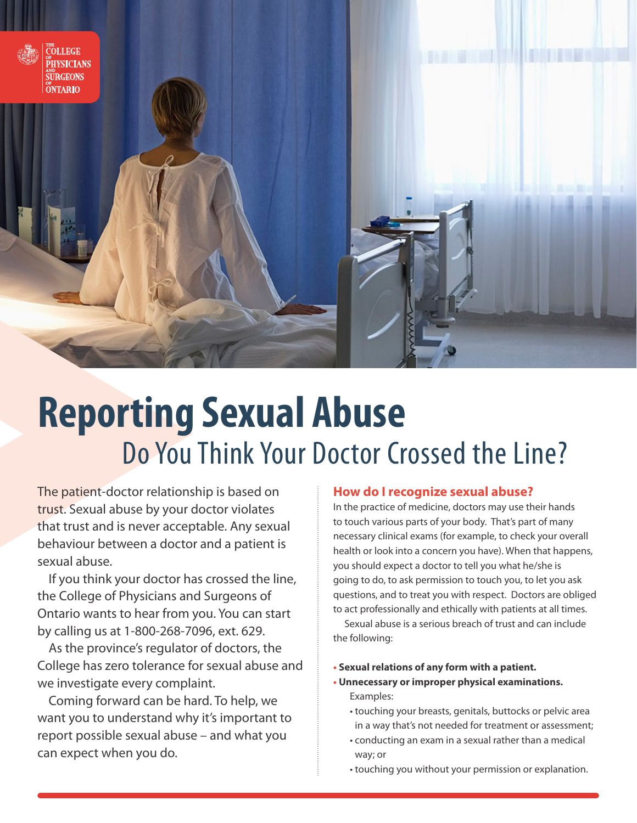

# **Reporting Sexual Abuse** Do You Think Your Doctor Crossed the Line?

The patient-doctor relationship is based on trust. Sexual abuse by your doctor violates that trust and is never acceptable. Any sexual behaviour between a doctor and a patient is sexual abuse.

If you think your doctor has crossed the line, the College of Physicians and Surgeons of Ontario wants to hear from you. You can start by calling us at 1-800-268-7096, ext. 629.

As the province's regulator of doctors, the College has zero tolerance for sexual abuse and we investigate every complaint.

Coming forward can be hard. To help, we want you to understand why it's important to report possible sexual abuse – and what you can expect when you do.

#### **How do I recognize sexual abuse?**

In the practice of medicine, doctors may use their hands to touch various parts of your body. That's part of many necessary clinical exams (for example, to check your overall health or look into a concern you have). When that happens, you should expect a doctor to tell you what he/she is going to do, to ask permission to touch you, to let you ask questions, and to treat you with respect. Doctors are obliged to act professionally and ethically with patients at all times.

Sexual abuse is a serious breach of trust and can include the following:

- **• Sexual relations of any form with a patient.**
- **• Unnecessary or improper physical examinations.** Examples:
	- touching your breasts, genitals, buttocks or pelvic area in a way that's not needed for treatment or assessment;
	- conducting an exam in a sexual rather than a medical way; or
	- touching you without your permission or explanation.